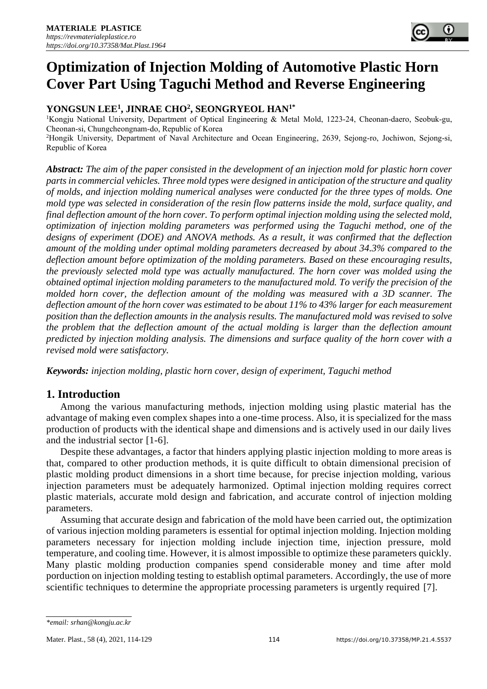# **YONGSUN LEE<sup>1</sup> , JINRAE CHO<sup>2</sup> , SEONGRYEOL HAN1\***

<sup>1</sup>Kongju National University, Department of Optical Engineering & Metal Mold, 1223-24, Cheonan-daero, Seobuk-gu, Cheonan-si, Chungcheongnam-do, Republic of Korea <sup>2</sup>Hongik University, Department of Naval Architecture and Ocean Engineering, 2639, Sejong-ro, Jochiwon, Sejong-si,

Republic of Korea

*Abstract: The aim of the paper consisted in the development of an injection mold for plastic horn cover parts in commercial vehicles. Three mold types were designed in anticipation of the structure and quality of molds, and injection molding numerical analyses were conducted for the three types of molds. One mold type was selected in consideration of the resin flow patterns inside the mold, surface quality, and final deflection amount of the horn cover. To perform optimal injection molding using the selected mold, optimization of injection molding parameters was performed using the Taguchi method, one of the designs of experiment (DOE) and ANOVA methods. As a result, it was confirmed that the deflection amount of the molding under optimal molding parameters decreased by about 34.3% compared to the deflection amount before optimization of the molding parameters. Based on these encouraging results, the previously selected mold type was actually manufactured. The horn cover was molded using the obtained optimal injection molding parameters to the manufactured mold. To verify the precision of the molded horn cover, the deflection amount of the molding was measured with a 3D scanner. The deflection amount of the horn cover was estimated to be about 11% to 43% larger for each measurement position than the deflection amounts in the analysis results. The manufactured mold was revised to solve the problem that the deflection amount of the actual molding is larger than the deflection amount predicted by injection molding analysis. The dimensions and surface quality of the horn cover with a revised mold were satisfactory.* 

*Keywords: injection molding, plastic horn cover, design of experiment, Taguchi method*

# **1. Introduction**

Among the various manufacturing methods, injection molding using plastic material has the advantage of making even complex shapes into a one-time process. Also, it is specialized for the mass production of products with the identical shape and dimensions and is actively used in our daily lives and the industrial sector [1-6].

Despite these advantages, a factor that hinders applying plastic injection molding to more areas is that, compared to other production methods, it is quite difficult to obtain dimensional precision of plastic molding product dimensions in a short time because, for precise injection molding, various injection parameters must be adequately harmonized. Optimal injection molding requires correct plastic materials, accurate mold design and fabrication, and accurate control of injection molding parameters.

Assuming that accurate design and fabrication of the mold have been carried out, the optimization of various injection molding parameters is essential for optimal injection molding. Injection molding parameters necessary for injection molding include injection time, injection pressure, mold temperature, and cooling time. However, it is almost impossible to optimize these parameters quickly. Many plastic molding production companies spend considerable money and time after mold porduction on injection molding testing to establish optimal parameters. Accordingly, the use of more scientific techniques to determine the appropriate processing parameters is urgently required [7].

*<sup>\*</sup>email: srhan@kongju.ac.kr*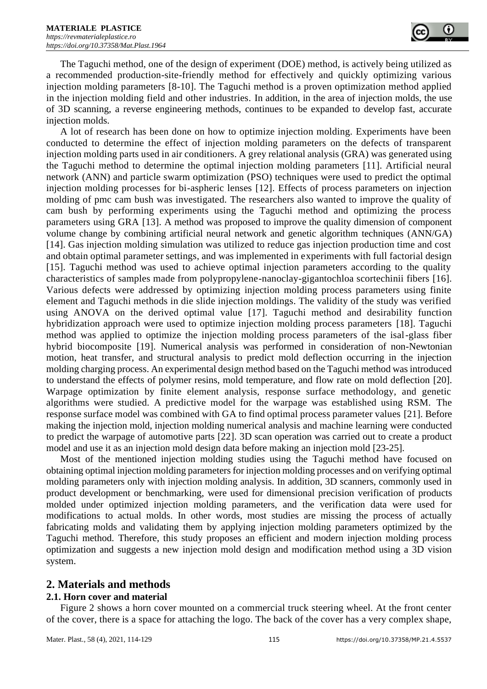

The Taguchi method, one of the design of experiment (DOE) method, is actively being utilized as a recommended production-site-friendly method for effectively and quickly optimizing various injection molding parameters [8-10]. The Taguchi method is a proven optimization method applied in the injection molding field and other industries. In addition, in the area of injection molds, the use of 3D scanning, a reverse engineering methods, continues to be expanded to develop fast, accurate injection molds.

A lot of research has been done on how to optimize injection molding. Experiments have been conducted to determine the effect of injection molding parameters on the defects of transparent injection molding parts used in air conditioners. A grey relational analysis (GRA) was generated using the Taguchi method to determine the optimal injection molding parameters [11]. Artificial neural network (ANN) and particle swarm optimization (PSO) techniques were used to predict the optimal injection molding processes for bi-aspheric lenses [12]. Effects of process parameters on injection molding of pmc cam bush was investigated. The researchers also wanted to improve the quality of cam bush by performing experiments using the Taguchi method and optimizing the process parameters using GRA [13]. A method was proposed to improve the quality dimension of component volume change by combining artificial neural network and genetic algorithm techniques (ANN/GA) [14]. Gas injection molding simulation was utilized to reduce gas injection production time and cost and obtain optimal parameter settings, and was implemented in experiments with full factorial design [15]. Taguchi method was used to achieve optimal injection parameters according to the quality characteristics of samples made from polypropylene-nanoclay-gigantochloa scortechinii fibers [16]. Various defects were addressed by optimizing injection molding process parameters using finite element and Taguchi methods in die slide injection moldings. The validity of the study was verified using ANOVA on the derived optimal value [17]. Taguchi method and desirability function hybridization approach were used to optimize injection molding process parameters [18]. Taguchi method was applied to optimize the injection molding process parameters of the isal-glass fiber hybrid biocomposite [19]. Numerical analysis was performed in consideration of non-Newtonian motion, heat transfer, and structural analysis to predict mold deflection occurring in the injection molding charging process. An experimental design method based on the Taguchi method was introduced to understand the effects of polymer resins, mold temperature, and flow rate on mold deflection [20]. Warpage optimization by finite element analysis, response surface methodology, and genetic algorithms were studied. A predictive model for the warpage was established using RSM. The response surface model was combined with GA to find optimal process parameter values [21]. Before making the injection mold, injection molding numerical analysis and machine learning were conducted to predict the warpage of automotive parts [22]. 3D scan operation was carried out to create a product model and use it as an injection mold design data before making an injection mold [23-25].

Most of the mentioned injection molding studies using the Taguchi method have focused on obtaining optimal injection molding parameters for injection molding processes and on verifying optimal molding parameters only with injection molding analysis. In addition, 3D scanners, commonly used in product development or benchmarking, were used for dimensional precision verification of products molded under optimized injection molding parameters, and the verification data were used for modifications to actual molds. In other words, most studies are missing the process of actually fabricating molds and validating them by applying injection molding parameters optimized by the Taguchi method. Therefore, this study proposes an efficient and modern injection molding process optimization and suggests a new injection mold design and modification method using a 3D vision system.

## **2. Materials and methods**

### **2.1. Horn cover and material**

Figure 2 shows a horn cover mounted on a commercial truck steering wheel. At the front center of the cover, there is a space for attaching the logo. The back of the cover has a very complex shape,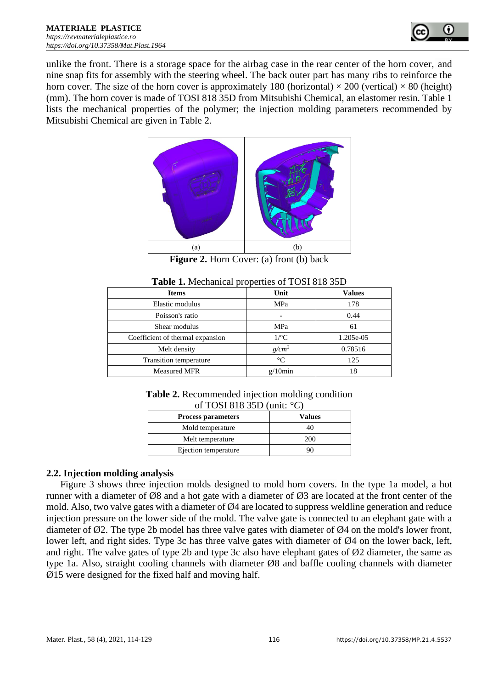

unlike the front. There is a storage space for the airbag case in the rear center of the horn cover, and nine snap fits for assembly with the steering wheel. The back outer part has many ribs to reinforce the horn cover. The size of the horn cover is approximately 180 (horizontal)  $\times$  200 (vertical)  $\times$  80 (height) (mm). The horn cover is made of TOSI 818 35D from Mitsubishi Chemical, an elastomer resin. Table 1 lists the mechanical properties of the polymer; the injection molding parameters recommended by Mitsubishi Chemical are given in Table 2.



**Figure 2.** Horn Cover: (a) front (b) back

| $\frac{1}{2}$                    |                 |               |  |  |
|----------------------------------|-----------------|---------------|--|--|
| <b>Items</b>                     | Unit            | <b>Values</b> |  |  |
| Elastic modulus                  | MPa             | 178           |  |  |
| Poisson's ratio                  |                 | 0.44          |  |  |
| Shear modulus                    | MPa             | 61            |  |  |
| Coefficient of thermal expansion | $1$ /°C         | 1.205e-05     |  |  |
| Melt density                     | $g/cm^3$        | 0.78516       |  |  |
| <b>Transition temperature</b>    | $\rm ^{\circ}C$ | 125           |  |  |
| <b>Measured MFR</b>              | $g/10$ min      | 18            |  |  |

| <b>Table 2.</b> Recommended injection molding condition |
|---------------------------------------------------------|
| of TOSI 818 35D (unit: $\degree$ C)                     |

| $0.1$ TODI 010 00D (Gillie) $\sigma$<br><b>Process parameters</b> | Values |
|-------------------------------------------------------------------|--------|
| Mold temperature                                                  |        |
| Melt temperature                                                  | 200    |
| Ejection temperature                                              |        |

## **2.2. Injection molding analysis**

Figure 3 shows three injection molds designed to mold horn covers. In the type 1a model, a hot runner with a diameter of Ø8 and a hot gate with a diameter of Ø3 are located at the front center of the mold. Also, two valve gates with a diameter of  $\varnothing$ 4 are located to suppress weldline generation and reduce injection pressure on the lower side of the mold. The valve gate is connected to an elephant gate with a diameter of  $\varnothing$ 2. The type 2b model has three valve gates with diameter of  $\varnothing$ 4 on the mold's lower front, lower left, and right sides. Type 3c has three valve gates with diameter of Ø4 on the lower back, left, and right. The valve gates of type 2b and type 3c also have elephant gates of Ø2 diameter, the same as type 1a. Also, straight cooling channels with diameter Ø8 and baffle cooling channels with diameter Ø15 were designed for the fixed half and moving half.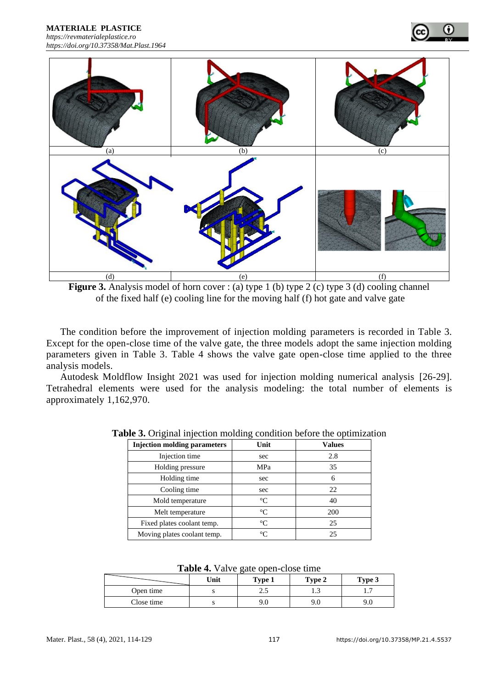**MATERIALE PLASTICE**  *[https://revmaterialeplastice.ro](https://revmaterialeplastice.ro/) https://doi.org/10.37358/Mat.Plast.1964*



**Figure 3.** Analysis model of horn cover : (a) type 1 (b) type 2 (c) type 3 (d) cooling channel of the fixed half (e) cooling line for the moving half (f) hot gate and valve gate

The condition before the improvement of injection molding parameters is recorded in Table 3. Except for the open-close time of the valve gate, the three models adopt the same injection molding parameters given in Table 3. Table 4 shows the valve gate open-close time applied to the three analysis models.

Autodesk Moldflow Insight 2021 was used for injection molding numerical analysis [26-29]. Tetrahedral elements were used for the analysis modeling: the total number of elements is approximately 1,162,970.

| <b>Injection molding parameters</b> | Unit            | <b>Values</b> |
|-------------------------------------|-----------------|---------------|
| Injection time                      | sec             | 2.8           |
| Holding pressure                    | MPa             | 35            |
| Holding time                        | sec             |               |
| Cooling time                        | sec             | 22            |
| Mold temperature                    | $\rm ^{\circ}C$ | 40            |
| Melt temperature                    | $^{\circ}C$     | 200           |
| Fixed plates coolant temp.          | $\rm ^{\circ}C$ | 25            |
| Moving plates coolant temp.         | °∩              | 25            |

**Table 3.** Original injection molding condition before the optimization

|            | Unit | Type 1 | Type 2 | Type 3 |
|------------|------|--------|--------|--------|
| Open time  |      | ر      | ر      | .      |
| Close time |      |        | 9.0    | , v    |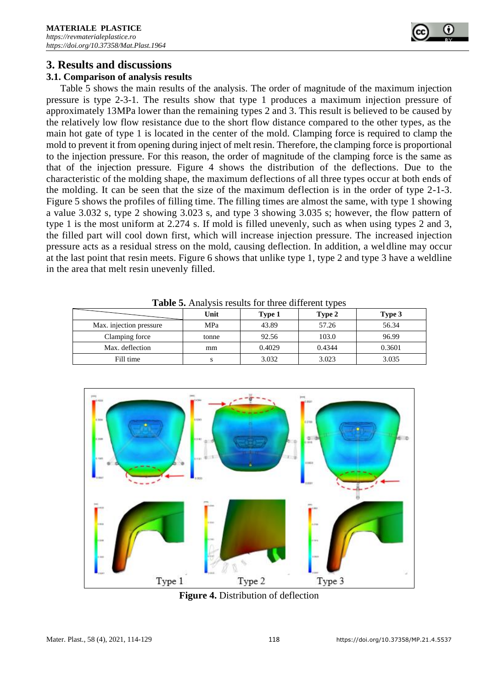

## **3. Results and discussions**

### **3.1. Comparison of analysis results**

Table 5 shows the main results of the analysis. The order of magnitude of the maximum injection pressure is type 2-3-1. The results show that type 1 produces a maximum injection pressure of approximately 13MPa lower than the remaining types 2 and 3. This result is believed to be caused by the relatively low flow resistance due to the short flow distance compared to the other types, as the main hot gate of type 1 is located in the center of the mold. Clamping force is required to clamp the mold to prevent it from opening during inject of melt resin. Therefore, the clamping force is proportional to the injection pressure. For this reason, the order of magnitude of the clamping force is the same as that of the injection pressure. Figure 4 shows the distribution of the deflections. Due to the characteristic of the molding shape, the maximum deflections of all three types occur at both ends of the molding. It can be seen that the size of the maximum deflection is in the order of type 2-1-3. Figure 5 shows the profiles of filling time. The filling times are almost the same, with type 1 showing a value 3.032 s, type 2 showing 3.023 s, and type 3 showing 3.035 s; however, the flow pattern of type 1 is the most uniform at 2.274 s. If mold is filled unevenly, such as when using types 2 and 3, the filled part will cool down first, which will increase injection pressure. The increased injection pressure acts as a residual stress on the mold, causing deflection. In addition, a weldline may occur at the last point that resin meets. Figure 6 shows that unlike type 1, type 2 and type 3 have a weldline in the area that melt resin unevenly filled.

| <b>Table 3.</b> Thial valuates for three different types |       |        |        |        |  |
|----------------------------------------------------------|-------|--------|--------|--------|--|
|                                                          | Unit  | Type 1 | Type 2 | Type 3 |  |
| Max. injection pressure                                  | MPa   | 43.89  | 57.26  | 56.34  |  |
| Clamping force                                           | tonne | 92.56  | 103.0  | 96.99  |  |
| Max. deflection                                          | mm    | 0.4029 | 0.4344 | 0.3601 |  |
| Fill time                                                |       | 3.032  | 3.023  | 3.035  |  |

**Table 5.** Analysis results for three different types



**Figure 4.** Distribution of deflection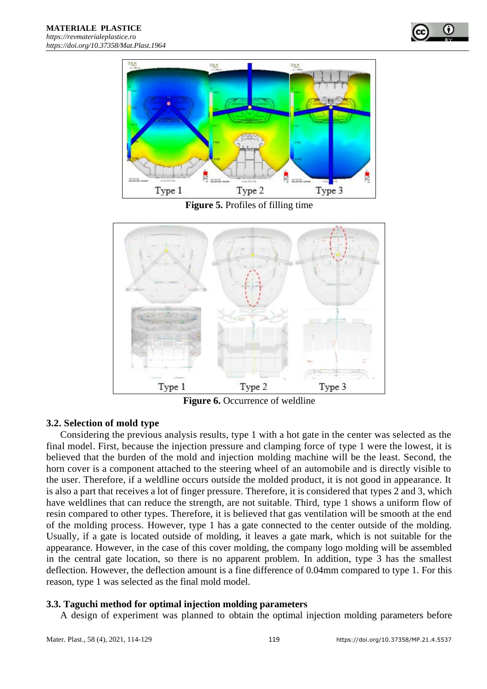



**Figure 5.** Profiles of filling time



**Figure 6.** Occurrence of weldline

## **3.2. Selection of mold type**

Considering the previous analysis results, type 1 with a hot gate in the center was selected as the final model. First, because the injection pressure and clamping force of type 1 were the lowest, it is believed that the burden of the mold and injection molding machine will be the least. Second, the horn cover is a component attached to the steering wheel of an automobile and is directly visible to the user. Therefore, if a weldline occurs outside the molded product, it is not good in appearance. It is also a part that receives a lot of finger pressure. Therefore, it is considered that types 2 and 3, which have weldlines that can reduce the strength, are not suitable. Third, type 1 shows a uniform flow of resin compared to other types. Therefore, it is believed that gas ventilation will be smooth at the end of the molding process. However, type 1 has a gate connected to the center outside of the molding. Usually, if a gate is located outside of molding, it leaves a gate mark, which is not suitable for the appearance. However, in the case of this cover molding, the company logo molding will be assembled in the central gate location, so there is no apparent problem. In addition, type 3 has the smallest deflection. However, the deflection amount is a fine difference of 0.04mm compared to type 1. For this reason, type 1 was selected as the final mold model.

### **3.3. Taguchi method for optimal injection molding parameters**

A design of experiment was planned to obtain the optimal injection molding parameters before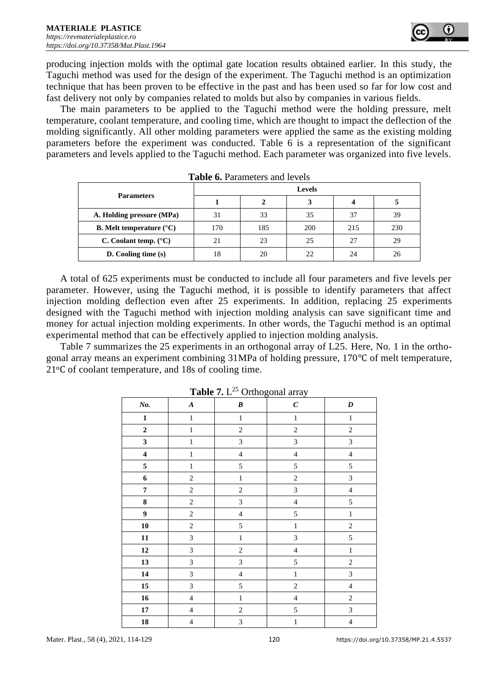producing injection molds with the optimal gate location results obtained earlier. In this study, the Taguchi method was used for the design of the experiment. The Taguchi method is an optimization technique that has been proven to be effective in the past and has been used so far for low cost and fast delivery not only by companies related to molds but also by companies in various fields.

The main parameters to be applied to the Taguchi method were the holding pressure, melt temperature, coolant temperature, and cooling time, which are thought to impact the deflection of the molding significantly. All other molding parameters were applied the same as the existing molding parameters before the experiment was conducted. Table 6 is a representation of the significant parameters and levels applied to the Taguchi method. Each parameter was organized into five levels.

|                                          | <b>Levels</b> |     |     |     |     |
|------------------------------------------|---------------|-----|-----|-----|-----|
| <b>Parameters</b>                        |               |     | 3   |     |     |
| A. Holding pressure (MPa)                | 31            | 33  | 35  | 37  | 39  |
| <b>B.</b> Melt temperature $(^{\circ}C)$ | 170           | 185 | 200 | 215 | 230 |
| C. Coolant temp. $(^{\circ}C)$           | 21            | 23  | 25  | 27  | 29  |
| $D.$ Cooling time $(s)$                  | 18            | 20  | 22  | 24  | 26  |

**Table 6.** Parameters and levels

A total of 625 experiments must be conducted to include all four parameters and five levels per parameter. However, using the Taguchi method, it is possible to identify parameters that affect injection molding deflection even after 25 experiments. In addition, replacing 25 experiments designed with the Taguchi method with injection molding analysis can save significant time and money for actual injection molding experiments. In other words, the Taguchi method is an optimal experimental method that can be effectively applied to injection molding analysis.

Table 7 summarizes the 25 experiments in an orthogonal array of L25. Here, No. 1 in the orthogonal array means an experiment combining 31MPa of holding pressure, 170℃ of melt temperature, 21oC of coolant temperature, and 18s of cooling time.

|                         | $       -$<br>$\frac{3}{2}$ |                |                             |                  |  |
|-------------------------|-----------------------------|----------------|-----------------------------|------------------|--|
| No.                     | $\boldsymbol{A}$            | $\pmb{B}$      | $\pmb{C}$                   | $\boldsymbol{D}$ |  |
| $\mathbf 1$             | $\,1$                       | $\,1$          | $\,1\,$                     | $\,1\,$          |  |
| $\overline{\mathbf{c}}$ | $\mathbf{1}$                | $\sqrt{2}$     | $\sqrt{2}$                  | $\boldsymbol{2}$ |  |
| $\overline{\mathbf{3}}$ | $\mathbf{1}$                | $\overline{3}$ | $\ensuremath{\mathfrak{Z}}$ | $\mathfrak{Z}$   |  |
| $\overline{\mathbf{4}}$ | $\mathbf{1}$                | $\overline{4}$ | $\overline{4}$              | $\overline{4}$   |  |
| $\sqrt{5}$              | $\,1$                       | 5              | 5                           | 5                |  |
| $\boldsymbol{6}$        | $\sqrt{2}$                  | $\,1\,$        | $\sqrt{2}$                  | $\mathfrak{Z}$   |  |
| $\pmb{7}$               | $\sqrt{2}$                  | $\sqrt{2}$     | $\mathfrak{Z}$              | $\overline{4}$   |  |
| 8                       | $\sqrt{2}$                  | $\overline{3}$ | $\sqrt{4}$                  | 5                |  |
| $\boldsymbol{9}$        | $\sqrt{2}$                  | $\overline{4}$ | 5                           | $\,1$            |  |
| 10                      | $\overline{c}$              | 5              | $\,1$                       | $\sqrt{2}$       |  |
| $\bf{11}$               | $\overline{3}$              | $\,1\,$        | $\mathfrak{Z}$              | 5                |  |
| 12                      | $\overline{3}$              | $\sqrt{2}$     | $\overline{4}$              | $\,1$            |  |
| 13                      | $\mathfrak{Z}$              | $\overline{3}$ | 5                           | $\overline{c}$   |  |
| ${\bf 14}$              | $\overline{3}$              | $\overline{4}$ | $\mathbf{1}$                | $\overline{3}$   |  |
| $15\,$                  | $\overline{3}$              | 5              | $\overline{c}$              | $\overline{4}$   |  |
| 16                      | $\overline{\mathbf{4}}$     | $\,1$          | $\overline{4}$              | $\overline{c}$   |  |
| $\bf 17$                | $\overline{4}$              | $\sqrt{2}$     | 5                           | $\mathfrak{Z}$   |  |
| 18                      | $\overline{4}$              | 3              | $\,1$                       | $\overline{4}$   |  |

**Table 7.** L <sup>25</sup> Orthogonal array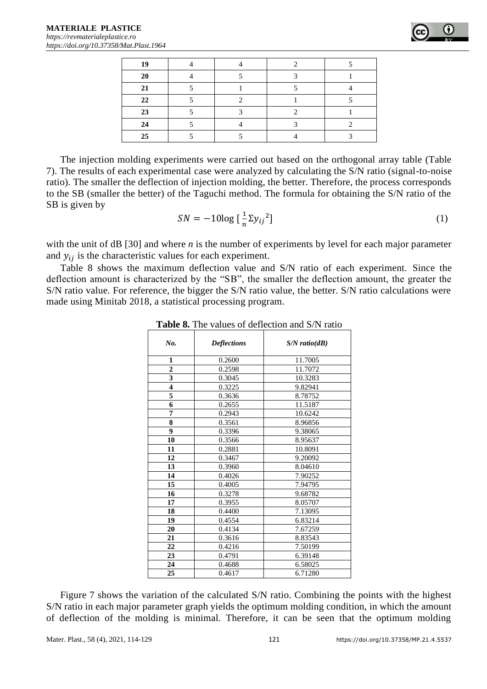| 19 |  |  |
|----|--|--|
| 20 |  |  |
| 21 |  |  |
| 22 |  |  |
| 23 |  |  |
| 24 |  |  |
| 25 |  |  |

The injection molding experiments were carried out based on the orthogonal array table (Table 7). The results of each experimental case were analyzed by calculating the S/N ratio (signal-to-noise ratio). The smaller the deflection of injection molding, the better. Therefore, the process corresponds to the SB (smaller the better) of the Taguchi method. The formula for obtaining the S/N ratio of the SB is given by

$$
SN = -10\log\left[\frac{1}{n}\Sigma y_{ij}\right]^2\tag{1}
$$

with the unit of dB [30] and where *n* is the number of experiments by level for each major parameter and  $y_{ij}$  is the characteristic values for each experiment.

Table 8 shows the maximum deflection value and S/N ratio of each experiment. Since the deflection amount is characterized by the "SB", the smaller the deflection amount, the greater the S/N ratio value. For reference, the bigger the S/N ratio value, the better. S/N ratio calculations were made using Minitab 2018, a statistical processing program.

| No.                     | <b>Deflections</b> | $S/N$ ratio(dB) |
|-------------------------|--------------------|-----------------|
| 1                       | 0.2600             | 11.7005         |
| $\overline{2}$          | 0.2598             | 11.7072         |
| $\overline{\mathbf{3}}$ | 0.3045             | 10.3283         |
| $\overline{\mathbf{4}}$ | 0.3225             | 9.82941         |
| 5                       | 0.3636             | 8.78752         |
| 6                       | 0.2655             | 11.5187         |
| 7                       | 0.2943             | 10.6242         |
| 8                       | 0.3561             | 8.96856         |
| 9                       | 0.3396             | 9.38065         |
| 10                      | 0.3566             | 8.95637         |
| 11                      | 0.2881             | 10.8091         |
| 12                      | 0.3467             | 9.20092         |
| 13                      | 0.3960             | 8.04610         |
| 14                      | 0.4026             | 7.90252         |
| 15                      | 0.4005             | 7.94795         |
| 16                      | 0.3278             | 9.68782         |
| 17                      | 0.3955             | 8.05707         |
| 18                      | 0.4400             | 7.13095         |
| 19                      | 0.4554             | 6.83214         |
| 20                      | 0.4134             | 7.67259         |
| 21                      | 0.3616             | 8.83543         |
| 22                      | 0.4216             | 7.50199         |
| 23                      | 0.4791             | 6.39148         |
| 24                      | 0.4688             | 6.58025         |
| 25                      | 0.4617             | 6.71280         |

**Table 8.** The values of deflection and S/N ratio

Figure 7 shows the variation of the calculated S/N ratio. Combining the points with the highest S/N ratio in each major parameter graph yields the optimum molding condition, in which the amount of deflection of the molding is minimal. Therefore, it can be seen that the optimum molding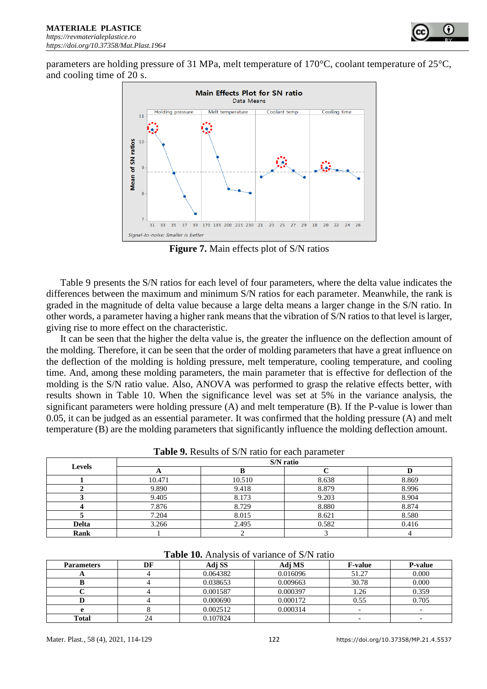parameters are holding pressure of 31 MPa, melt temperature of 170°C, coolant temperature of 25°C, and cooling time of 20 s.



**Figure 7.** Main effects plot of S/N ratios

Table 9 presents the S/N ratios for each level of four parameters, where the delta value indicates the differences between the maximum and minimum S/N ratios for each parameter. Meanwhile, the rank is graded in the magnitude of delta value because a large delta means a larger change in the S/N ratio. In other words, a parameter having a higher rank means that the vibration of S/N ratios to that level is larger, giving rise to more effect on the characteristic.

It can be seen that the higher the delta value is, the greater the influence on the deflection amount of the molding. Therefore, it can be seen that the order of molding parameters that have a great influence on the deflection of the molding is holding pressure, melt temperature, cooling temperature, and cooling time. And, among these molding parameters, the main parameter that is effective for deflection of the molding is the S/N ratio value. Also, ANOVA was performed to grasp the relative effects better, with results shown in Table 10. When the significance level was set at 5% in the variance analysis, the significant parameters were holding pressure (A) and melt temperature (B). If the P-value is lower than 0.05, it can be judged as an essential parameter. It was confirmed that the holding pressure (A) and melt temperature (B) are the molding parameters that significantly influence the molding deflection amount.

| Levels       | S/N ratio |        |       |       |  |  |
|--------------|-----------|--------|-------|-------|--|--|
|              | A         |        |       |       |  |  |
|              | 10.471    | 10.510 | 8.638 | 8.869 |  |  |
|              | 9.890     | 9.418  | 8.879 | 8.996 |  |  |
|              | 9.405     | 8.173  | 9.203 | 8.904 |  |  |
|              | 7.876     | 8.729  | 8.880 | 8.874 |  |  |
|              | 7.204     | 8.015  | 8.621 | 8.580 |  |  |
| <b>Delta</b> | 3.266     | 2.495  | 0.582 | 0.416 |  |  |
| Rank         |           |        |       |       |  |  |

**Table 9.** Results of S/N ratio for each parameter

| <b>Parameters</b> | DF | Adi SS   | Adj MS   | <b>F-value</b> | <b>P-value</b> |
|-------------------|----|----------|----------|----------------|----------------|
| л                 |    | 0.064382 | 0.016096 | 51.27          | 0.000          |
|                   |    | 0.038653 | 0.009663 | 30.78          | 0.000          |
|                   |    | 0.001587 | 0.000397 | . 26           | 0.359          |
|                   |    | 0.000690 | 0.000172 | 0.55           | 0.705          |
|                   |    | 0.002512 | 0.000314 |                |                |
| <b>Total</b>      | 24 | 0.107824 |          |                |                |

**Table 10.** Analysis of variance of S/N ratio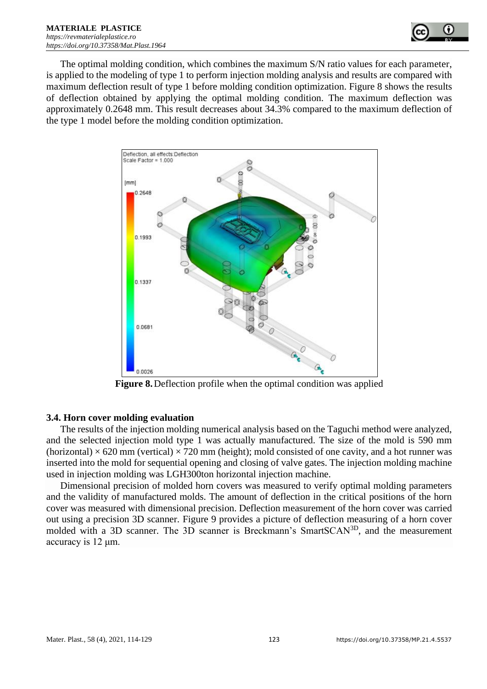

The optimal molding condition, which combines the maximum S/N ratio values for each parameter, is applied to the modeling of type 1 to perform injection molding analysis and results are compared with maximum deflection result of type 1 before molding condition optimization. Figure 8 shows the results of deflection obtained by applying the optimal molding condition. The maximum deflection was approximately 0.2648 mm. This result decreases about 34.3% compared to the maximum deflection of the type 1 model before the molding condition optimization.



**Figure 8.**Deflection profile when the optimal condition was applied

### **3.4. Horn cover molding evaluation**

The results of the injection molding numerical analysis based on the Taguchi method were analyzed, and the selected injection mold type 1 was actually manufactured. The size of the mold is 590 mm  $(horizontal) \times 620$  mm (vertical)  $\times 720$  mm (height); mold consisted of one cavity, and a hot runner was inserted into the mold for sequential opening and closing of valve gates. The injection molding machine used in injection molding was LGH300ton horizontal injection machine.

Dimensional precision of molded horn covers was measured to verify optimal molding parameters and the validity of manufactured molds. The amount of deflection in the critical positions of the horn cover was measured with dimensional precision. Deflection measurement of the horn cover was carried out using a precision 3D scanner. Figure 9 provides a picture of deflection measuring of a horn cover molded with a 3D scanner. The 3D scanner is Breckmann's SmartSCAN3D, and the measurement accuracy is 12 μm.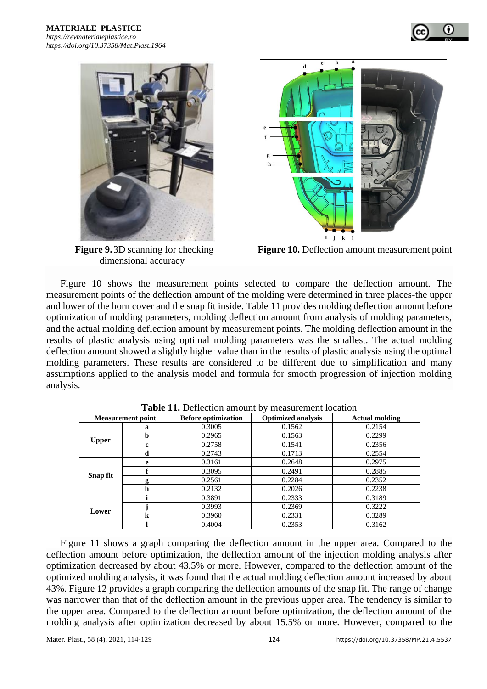



dimensional accuracy



**Figure 9.**3D scanning for checking **Figure 10.** Deflection amount measurement point

Figure 10 shows the measurement points selected to compare the deflection amount. The measurement points of the deflection amount of the molding were determined in three places-the upper and lower of the horn cover and the snap fit inside. Table 11 provides molding deflection amount before optimization of molding parameters, molding deflection amount from analysis of molding parameters, and the actual molding deflection amount by measurement points. The molding deflection amount in the results of plastic analysis using optimal molding parameters was the smallest. The actual molding deflection amount showed a slightly higher value than in the results of plastic analysis using the optimal molding parameters. These results are considered to be different due to simplification and many assumptions applied to the analysis model and formula for smooth progression of injection molding analysis.

| <b>Measurement point</b> |   | <b>Before optimization</b> | <b>Optimized analysis</b> | <b>Actual molding</b> |
|--------------------------|---|----------------------------|---------------------------|-----------------------|
| <b>Upper</b>             | a | 0.3005                     | 0.1562                    | 0.2154                |
|                          | b | 0.2965                     | 0.1563                    | 0.2299                |
|                          | c | 0.2758                     | 0.1541                    | 0.2356                |
|                          | d | 0.2743                     | 0.1713                    | 0.2554                |
| Snap fit                 | e | 0.3161                     | 0.2648                    | 0.2975                |
|                          |   | 0.3095                     | 0.2491                    | 0.2885                |
|                          | g | 0.2561                     | 0.2284                    | 0.2352                |
|                          | h | 0.2132                     | 0.2026                    | 0.2238                |
| Lower                    |   | 0.3891                     | 0.2333                    | 0.3189                |
|                          |   | 0.3993                     | 0.2369                    | 0.3222                |
|                          | k | 0.3960                     | 0.2331                    | 0.3289                |
|                          |   | 0.4004                     | 0.2353                    | 0.3162                |

**Table 11.** Deflection amount by measurement location

Figure 11 shows a graph comparing the deflection amount in the upper area. Compared to the deflection amount before optimization, the deflection amount of the injection molding analysis after optimization decreased by about 43.5% or more. However, compared to the deflection amount of the optimized molding analysis, it was found that the actual molding deflection amount increased by about 43%. Figure 12 provides a graph comparing the deflection amounts of the snap fit. The range of change was narrower than that of the deflection amount in the previous upper area. The tendency is similar to the upper area. Compared to the deflection amount before optimization, the deflection amount of the molding analysis after optimization decreased by about 15.5% or more. However, compared to the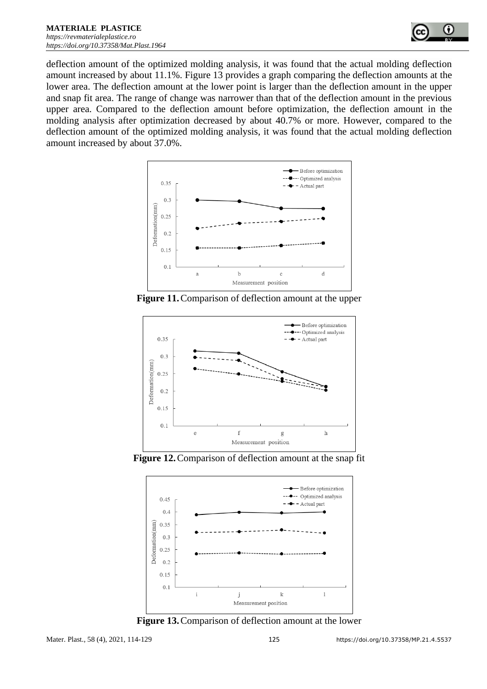

deflection amount of the optimized molding analysis, it was found that the actual molding deflection amount increased by about 11.1%. Figure 13 provides a graph comparing the deflection amounts at the lower area. The deflection amount at the lower point is larger than the deflection amount in the upper and snap fit area. The range of change was narrower than that of the deflection amount in the previous upper area. Compared to the deflection amount before optimization, the deflection amount in the molding analysis after optimization decreased by about 40.7% or more. However, compared to the deflection amount of the optimized molding analysis, it was found that the actual molding deflection amount increased by about 37.0%.



**Figure 11.**Comparison of deflection amount at the upper



**Figure 12.**Comparison of deflection amount at the snap fit



**Figure 13.**Comparison of deflection amount at the lower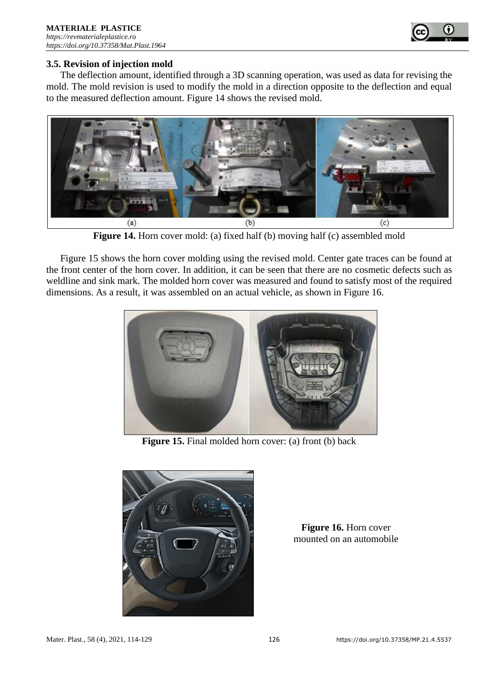

#### **3.5. Revision of injection mold**

The deflection amount, identified through a 3D scanning operation, was used as data for revising the mold. The mold revision is used to modify the mold in a direction opposite to the deflection and equal to the measured deflection amount. Figure 14 shows the revised mold.



**Figure 14.** Horn cover mold: (a) fixed half (b) moving half (c) assembled mold

Figure 15 shows the horn cover molding using the revised mold. Center gate traces can be found at the front center of the horn cover. In addition, it can be seen that there are no cosmetic defects such as weldline and sink mark. The molded horn cover was measured and found to satisfy most of the required dimensions. As a result, it was assembled on an actual vehicle, as shown in Figure 16.



Figure 15. Final molded horn cover: (a) front (b) back



**Figure 16.** Horn cover mounted on an automobile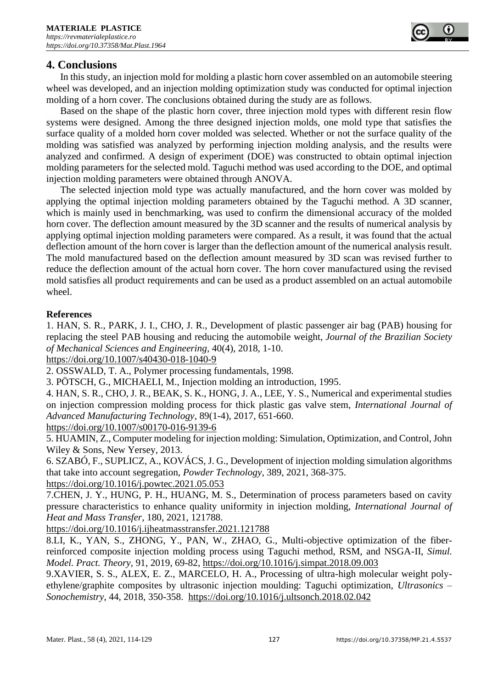## **4. Conclusions**

In this study, an injection mold for molding a plastic horn cover assembled on an automobile steering wheel was developed, and an injection molding optimization study was conducted for optimal injection molding of a horn cover. The conclusions obtained during the study are as follows.

Based on the shape of the plastic horn cover, three injection mold types with different resin flow systems were designed. Among the three designed injection molds, one mold type that satisfies the surface quality of a molded horn cover molded was selected. Whether or not the surface quality of the molding was satisfied was analyzed by performing injection molding analysis, and the results were analyzed and confirmed. A design of experiment (DOE) was constructed to obtain optimal injection molding parameters for the selected mold. Taguchi method was used according to the DOE, and optimal injection molding parameters were obtained through ANOVA.

The selected injection mold type was actually manufactured, and the horn cover was molded by applying the optimal injection molding parameters obtained by the Taguchi method. A 3D scanner, which is mainly used in benchmarking, was used to confirm the dimensional accuracy of the molded horn cover. The deflection amount measured by the 3D scanner and the results of numerical analysis by applying optimal injection molding parameters were compared. As a result, it was found that the actual deflection amount of the horn cover is larger than the deflection amount of the numerical analysis result. The mold manufactured based on the deflection amount measured by 3D scan was revised further to reduce the deflection amount of the actual horn cover. The horn cover manufactured using the revised mold satisfies all product requirements and can be used as a product assembled on an actual automobile wheel.

#### **References**

1. HAN, S. R., PARK, J. I., CHO, J. R., Development of plastic passenger air bag (PAB) housing for replacing the steel PAB housing and reducing the automobile weight, *Journal of the Brazilian Society of Mechanical Sciences and Engineering,* 40(4), 2018, 1-10.

<https://doi.org/10.1007/s40430-018-1040-9>

2. OSSWALD, T. A., Polymer processing fundamentals, 1998.

3. PÖTSCH, G., MICHAELI, M., Injection molding an introduction, 1995.

4. HAN, S. R., CHO, J. R., BEAK, S. K., HONG, J. A., LEE, Y. S., Numerical and experimental studies on injection compression molding process for thick plastic gas valve stem, *International Journal of Advanced Manufacturing Technology*, 89(1-4), 2017, 651-660.

<https://doi.org/10.1007/s00170-016-9139-6>

5. HUAMIN, Z., Computer modeling for injection molding: Simulation, Optimization, and Control, John Wiley & Sons, New Yersey, 2013.

6. SZABÓ, F., SUPLICZ, A., KOVÁCS, J. G., Development of injection molding simulation algorithms that take into account segregation, *Powder Technology*, 389, 2021, 368-375.

<https://doi.org/10.1016/j.powtec.2021.05.053>

7.CHEN, J. Y., HUNG, P. H., HUANG, M. S., Determination of process parameters based on cavity pressure characteristics to enhance quality uniformity in injection molding, *International Journal of Heat and Mass Transfer*, 180, 2021, 121788.

<https://doi.org/10.1016/j.ijheatmasstransfer.2021.121788>

8.LI, K., YAN, S., ZHONG, Y., PAN, W., ZHAO, G., Multi-objective optimization of the fiberreinforced composite injection molding process using Taguchi method, RSM, and NSGA-II, *Simul. Model. Pract. Theory*, 91, 2019, 69-82,<https://doi.org/10.1016/j.simpat.2018.09.003>

9.XAVIER, S. S., ALEX, E. Z., MARCELO, H. A., Processing of ultra-high molecular weight polyethylene/graphite composites by ultrasonic injection moulding: Taguchi optimization, *Ultrasonics – Sonochemistry*, 44, 2018, 350-358. <https://doi.org/10.1016/j.ultsonch.2018.02.042>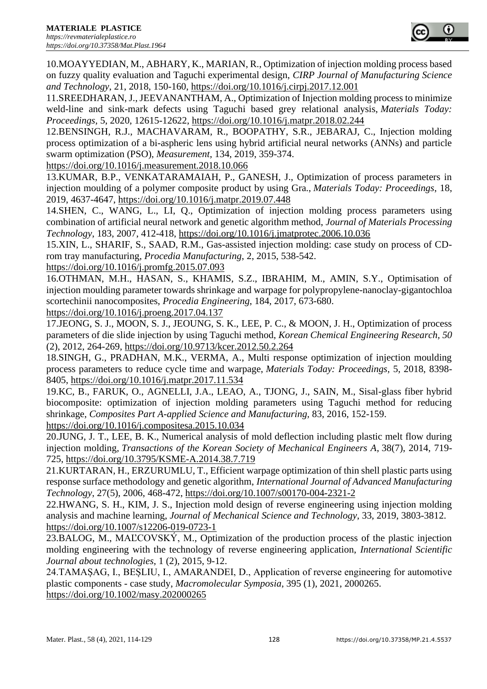10.MOAYYEDIAN, M., ABHARY, K., MARIAN, R., Optimization of injection molding process based on fuzzy quality evaluation and Taguchi experimental design, *CIRP Journal of Manufacturing Science and Technology*, 21, 2018, 150-160,<https://doi.org/10.1016/j.cirpj.2017.12.001>

11.SREEDHARAN, J., JEEVANANTHAM, A., Optimization of Injection molding process to minimize weld-line and sink-mark defects using Taguchi based grey relational analysis, *Materials Today: Proceedings*, 5, 2020, 12615-12622,<https://doi.org/10.1016/j.matpr.2018.02.244>

12.BENSINGH, R.J., MACHAVARAM, R., BOOPATHY, S.R., JEBARAJ, C., Injection molding process optimization of a bi-aspheric lens using hybrid artificial neural networks (ANNs) and particle swarm optimization (PSO), *Measurement*, 134, 2019, 359-374.

<https://doi.org/10.1016/j.measurement.2018.10.066>

13.KUMAR, B.P., VENKATARAMAIAH, P., GANESH, J., Optimization of process parameters in injection moulding of a polymer composite product by using Gra., *Materials Today: Proceedings*, 18, 2019, 4637-4647,<https://doi.org/10.1016/j.matpr.2019.07.448>

14.SHEN, C., WANG, L., LI, Q., Optimization of injection molding process parameters using combination of artificial neural network and genetic algorithm method, *Journal of Materials Processing Technology*, 183, 2007, 412-418,<https://doi.org/10.1016/j.jmatprotec.2006.10.036>

15.XIN, L., SHARIF, S., SAAD, R.M., Gas-assisted injection molding: case study on process of CDrom tray manufacturing, *Procedia Manufacturing*, 2, 2015, 538-542.

<https://doi.org/10.1016/j.promfg.2015.07.093>

16.OTHMAN, M.H., HASAN, S., KHAMIS, S.Z., IBRAHIM, M., AMIN, S.Y., Optimisation of injection moulding parameter towards shrinkage and warpage for polypropylene-nanoclay-gigantochloa scortechinii nanocomposites, *Procedia Engineering*, 184, 2017, 673-680.

<https://doi.org/10.1016/j.proeng.2017.04.137>

17.JEONG, S. J., MOON, S. J., JEOUNG, S. K., LEE, P. C., & MOON, J. H., Optimization of process parameters of die slide injection by using Taguchi method, *Korean Chemical Engineering Research, 50*  (2), 2012, 264-269,<https://doi.org/10.9713/kcer.2012.50.2.264>

18.SINGH, G., PRADHAN, M.K., VERMA, A., Multi response optimization of injection moulding process parameters to reduce cycle time and warpage, *Materials Today: Proceedings,* 5, 2018, 8398- 8405,<https://doi.org/10.1016/j.matpr.2017.11.534>

19.KC, B., FARUK, O., AGNELLI, J.A., LEAO, A., TJONG, J., SAIN, M., Sisal-glass fiber hybrid biocomposite: optimization of injection molding parameters using Taguchi method for reducing shrinkage, *Composites Part A-applied Science and Manufacturing,* 83, 2016, 152-159. <https://doi.org/10.1016/j.compositesa.2015.10.034>

20.JUNG, J. T., LEE, B. K., Numerical analysis of mold deflection including plastic melt flow during injection molding*, Transactions of the Korean Society of Mechanical Engineers A*, 38(7), 2014, 719- 725,<https://doi.org/10.3795/KSME-A.2014.38.7.719>

21.KURTARAN, H., ERZURUMLU, T., Efficient warpage optimization of thin shell plastic parts using response surface methodology and genetic algorithm, *International Journal of Advanced Manufacturing Technology*, 27(5), 2006, 468-472,<https://doi.org/10.1007/s00170-004-2321-2>

22.HWANG, S. H., KIM, J. S., Injection mold design of reverse engineering using injection molding analysis and machine learning, *Journal of Mechanical Science and Technology*, 33, 2019, 3803-3812. <https://doi.org/10.1007/s12206-019-0723-1>

23.BALOG, M., MAĽCOVSKÝ, M., Optimization of the production process of the plastic injection molding engineering with the technology of reverse engineering application, *International Scientific Journal about technologies*, 1 (2), 2015, 9-12.

24.TAMAȘAG, I., BEȘLIU, I., AMARANDEI, D., Application of reverse engineering for automotive plastic components - case study, *Macromolecular Symposia*, 395 (1), 2021, 2000265. <https://doi.org/10.1002/masy.202000265>